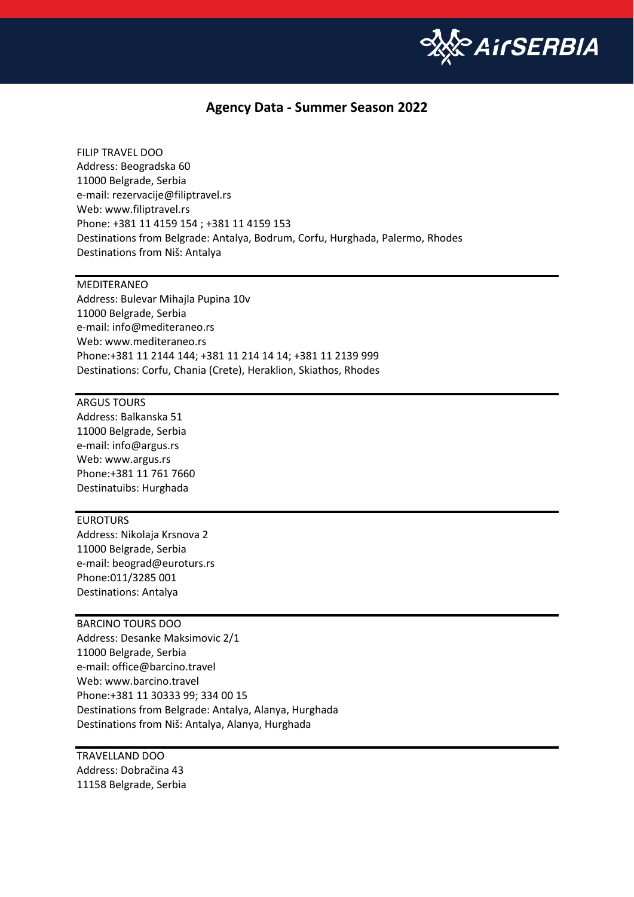

## **Agency Data - Summer Season 2022**

FILIP TRAVEL DOO Address: Beogradska 60 11000 Belgrade, Serbia e-mail: [rezervacije@filiptravel.rs](mailto:rezervacije@filiptravel.rs) Web[: www.filiptravel.rs](http://www.filiptravel.rs/) Phone: +381 11 4159 154 ; +381 11 4159 153 Destinations from Belgrade: Antalya, Bodrum, Corfu, Hurghada, Palermo, Rhodes Destinations from Niš: Antalya

## MEDITERANEO

Address: Bulevar Mihajla Pupina 10v 11000 Belgrade, Serbia e-mail: [info@mediteraneo.rs](mailto:info@mediteraneo.rs) Web[: www.mediteraneo.rs](http://www.mediteraneo.rs/) Phone:+381 11 2144 144; +381 11 214 14 14; +381 11 2139 999 Destinations: Corfu, Chania (Crete), Heraklion, Skiathos, Rhodes

ARGUS TOURS Address: Balkanska 51 11000 Belgrade, Serbia e-mail: [info@argus.rs](mailto:info@argus.rs) Web[: www.argus.rs](http://www.argus.rs/) Phone:+381 11 761 7660 Destinatuibs: Hurghada

## EUROTURS

Address: Nikolaja Krsnova 2 11000 Belgrade, Serbia e-mail: [beograd@euroturs.rs](mailto:) Phone[:011/3285 001](tel:+381113285001) Destinations: Antalya

## BARCINO TOURS DOO

Address: Desanke Maksimovic 2/1 11000 Belgrade, Serbia e-mail: office@barcino.travel Web: www.barcino.travel Phone:+381 11 30333 99; 334 00 15 Destinations from Belgrade: Antalya, Alanya, Hurghada Destinations from Niš: Antalya, Alanya, Hurghada

TRAVELLAND DOO Address: Dobračina 43 11158 Belgrade, Serbia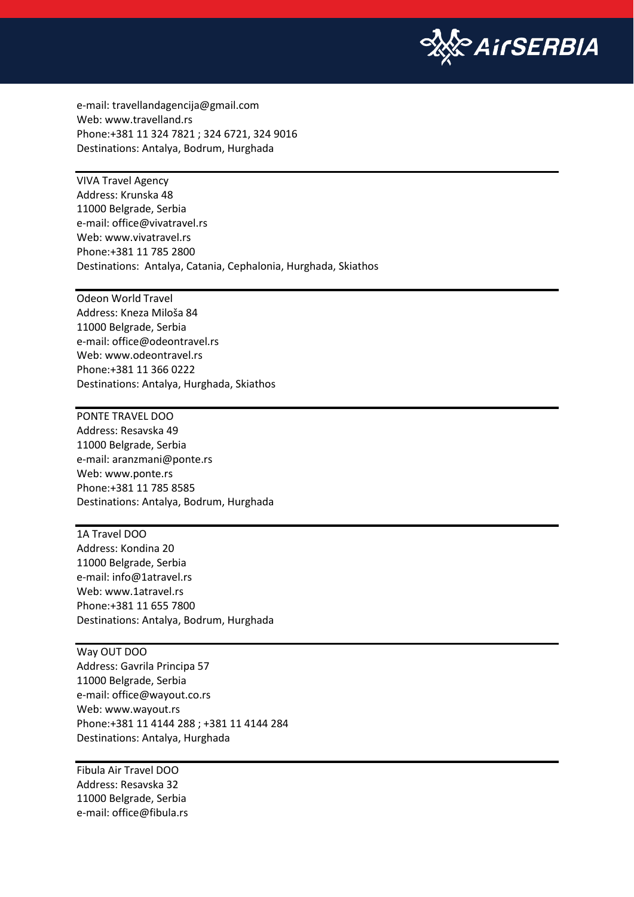

e-mail: travellandagencija@gmail.com Web: www.travelland.rs Phone:+381 11 324 7821 ; 324 6721, 324 9016 Destinations: Antalya, Bodrum, Hurghada

VIVA Travel Agency Address: Krunska 48 11000 Belgrade, Serbia e-mail: office@vivatravel.rs Web: www.vivatravel.rs Phone:+381 11 785 2800 Destinations: Antalya, Catania, Cephalonia, Hurghada, Skiathos

Odeon World Travel Address: Kneza Miloša 84 11000 Belgrade, Serbia e-mail: office@odeontravel.rs Web: www.odeontravel.rs Phone:+381 11 366 0222 Destinations: Antalya, Hurghada, Skiathos

PONTE TRAVEL DOO Address: Resavska 49 11000 Belgrade, Serbia e-mail: aranzmani@ponte.rs Web: www.ponte.rs Phone:+381 11 785 8585 Destinations: Antalya, Bodrum, Hurghada

1A Travel DOO Address: Kondina 20 11000 Belgrade, Serbia e-mail: info@1atravel.rs Web: www.1atravel.rs Phone:+381 11 655 7800 Destinations: Antalya, Bodrum, Hurghada

Way OUT DOO Address: Gavrila Principa 57 11000 Belgrade, Serbia e-mail: office@wayout.co.rs Web: www.wayout.rs Phone:+381 11 4144 288 ; +381 11 4144 284 Destinations: Antalya, Hurghada

Fibula Air Travel DOO Address: Resavska 32 11000 Belgrade, Serbia e-mail: office@fibula.rs